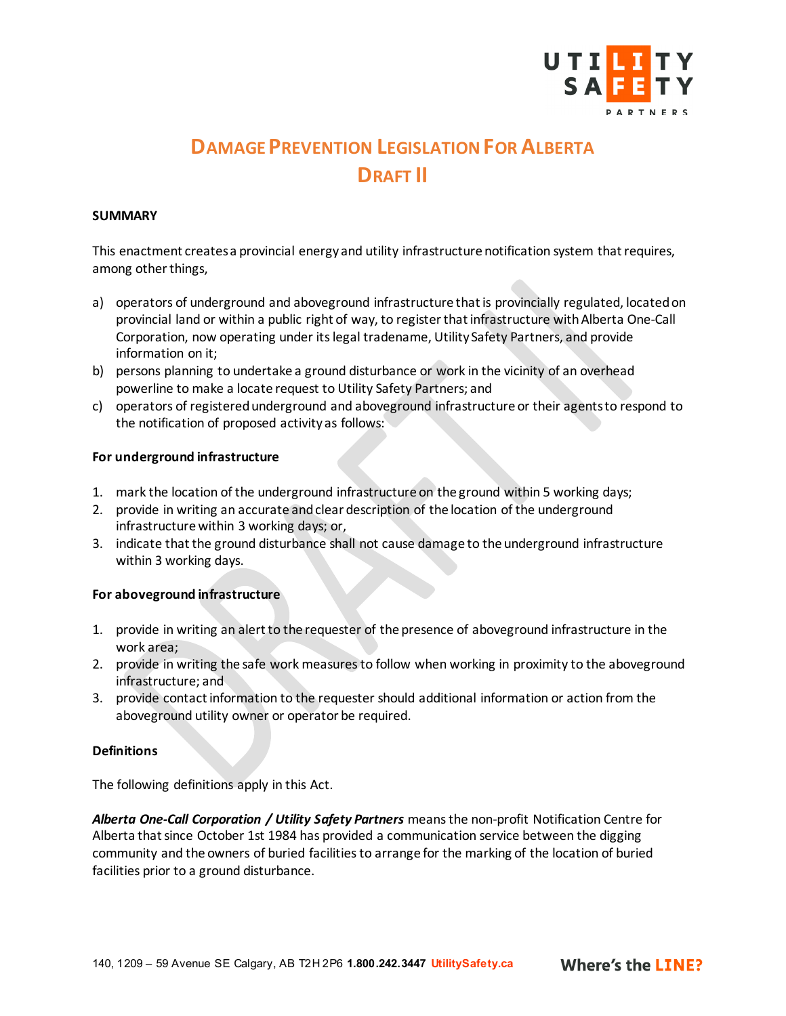

# **DAMAGE PREVENTION LEGISLATION FOR ALBERTA DRAFT II**

## **SUMMARY**

This enactment creates a provincial energy and utility infrastructure notification system that requires, among other things,

- a) operators of underground and aboveground infrastructure that is provincially regulated, located on provincial land or within a public right of way, to register that infrastructure with Alberta One-Call Corporation, now operating under its legal tradename, Utility Safety Partners, and provide information on it;
- b) persons planning to undertake a ground disturbance or work in the vicinity of an overhead powerline to make a locate request to Utility Safety Partners; and
- c) operators of registered underground and aboveground infrastructure or their agents to respond to the notification of proposed activity as follows:

## **For underground infrastructure**

- 1. mark the location of the underground infrastructure on the ground within 5 working days;
- 2. provide in writing an accurate and clear description of the location of the underground infrastructure within 3 working days; or,
- 3. indicate that the ground disturbance shall not cause damage to the underground infrastructure within 3 working days.

#### **For aboveground infrastructure**

- 1. provide in writing an alert to the requester of the presence of aboveground infrastructure in the work area;
- 2. provide in writing the safe work measuresto follow when working in proximity to the aboveground infrastructure; and
- 3. provide contact information to the requester should additional information or action from the aboveground utility owner or operator be required.

#### **Definitions**

The following definitions apply in this Act.

*Alberta One-Call Corporation / Utility Safety Partners* means the non-profit Notification Centre for Alberta that since October 1st 1984 has provided a communication service between the digging community and the owners of buried facilities to arrange for the marking of the location of buried facilities prior to a ground disturbance.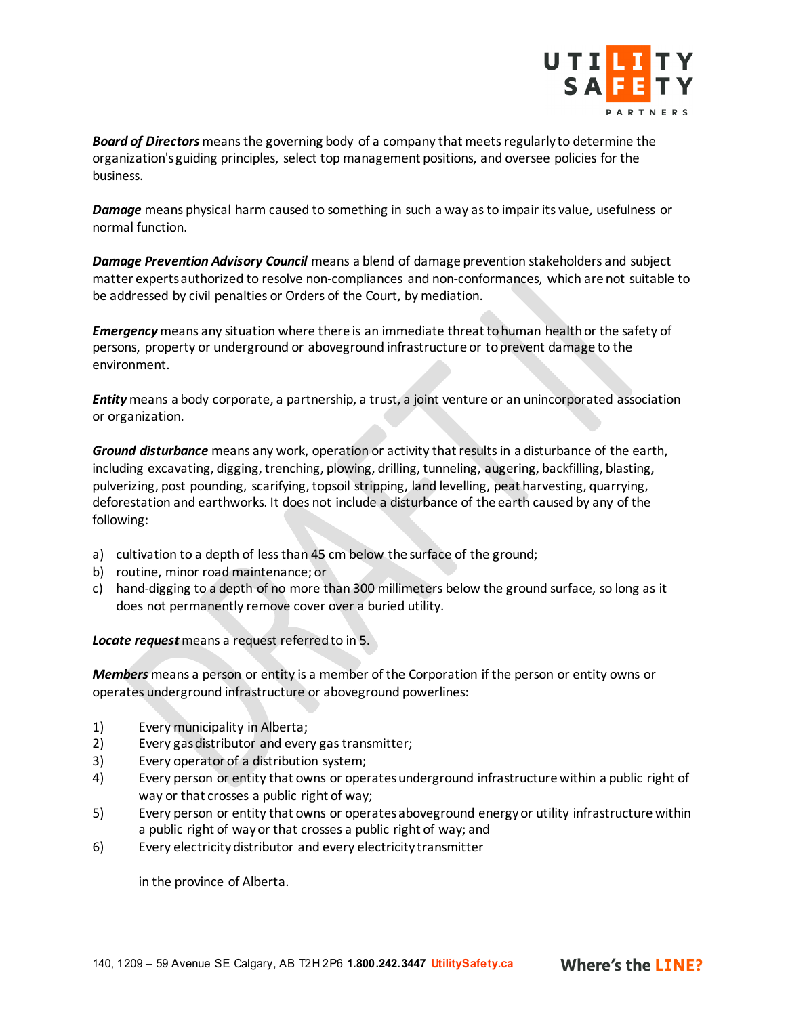

*Board of Directors* means the governing body of a company that meets regularly to determine the organization's guiding principles, select top management positions, and oversee policies for the business.

*Damage* means physical harm caused to something in such a way as to impair its value, usefulness or normal function.

*Damage Prevention Advisory Council* means a blend of damage prevention stakeholders and subject matter experts authorized to resolve non-compliances and non-conformances, which are not suitable to be addressed by civil penalties or Orders of the Court, by mediation.

*Emergency* means any situation where there is an immediate threat to human health or the safety of persons, property or underground or aboveground infrastructure or to prevent damage to the environment.

*Entity* means a body corporate, a partnership, a trust, a joint venture or an unincorporated association or organization.

*Ground disturbance* means any work, operation or activity that results in a disturbance of the earth, including excavating, digging, trenching, plowing, drilling, tunneling, augering, backfilling, blasting, pulverizing, post pounding, scarifying, topsoil stripping, land levelling, peat harvesting, quarrying, deforestation and earthworks. It does not include a disturbance of the earth caused by any of the following:

- a) cultivation to a depth of less than 45 cm below the surface of the ground;
- b) routine, minor road maintenance; or
- c) hand-digging to a depth of no more than 300 millimeters below the ground surface, so long as it does not permanently remove cover over a buried utility.

*Locate request*means a request referred to in 5.

*Members* means a person or entity is a member of the Corporation if the person or entity owns or operates underground infrastructure or aboveground powerlines:

- 1) Every municipality in Alberta;
- 2) Every gas distributor and every gas transmitter;
- 3) Every operator of a distribution system;
- 4) Every person or entity that owns or operates underground infrastructure within a public right of way or that crosses a public right of way;
- 5) Every person or entity that owns or operates aboveground energy or utility infrastructure within a public right of way or that crosses a public right of way; and
- 6) Every electricity distributor and every electricity transmitter

in the province of Alberta.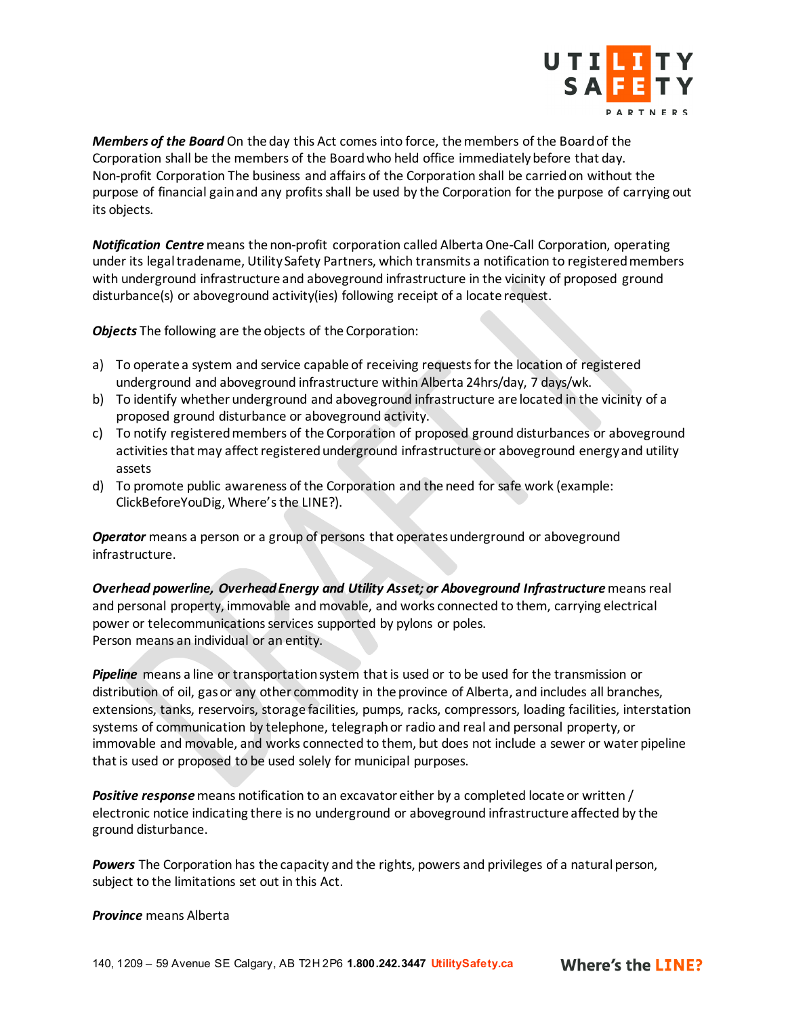

*Members of the Board* On the day this Act comes into force, the members of the Board of the Corporation shall be the members of the Board who held office immediately before that day. Non-profit Corporation The business and affairs of the Corporation shall be carried on without the purpose of financial gain and any profits shall be used by the Corporation for the purpose of carrying out its objects.

*Notification Centre*means the non-profit corporation called Alberta One-Call Corporation, operating under its legal tradename, Utility Safety Partners, which transmits a notification to registered members with underground infrastructure and aboveground infrastructure in the vicinity of proposed ground disturbance(s) or aboveground activity(ies) following receipt of a locate request.

*Objects* The following are the objects of the Corporation:

- a) To operate a system and service capable of receiving requests for the location of registered underground and aboveground infrastructure within Alberta 24hrs/day, 7 days/wk.
- b) To identify whether underground and aboveground infrastructure are located in the vicinity of a proposed ground disturbance or aboveground activity.
- c) To notify registered members of the Corporation of proposed ground disturbances or aboveground activities that may affect registered underground infrastructure or aboveground energy and utility assets
- d) To promote public awareness of the Corporation and the need for safe work (example: ClickBeforeYouDig, Where's the LINE?).

*Operator* means a person or a group of persons that operates underground or aboveground infrastructure.

**Overhead powerline, Overhead Energy and Utility Asset; or Aboveground Infrastructure** means real and personal property, immovable and movable, and works connected to them, carrying electrical power or telecommunications services supported by pylons or poles. Person means an individual or an entity.

*Pipeline* means a line or transportation system that is used or to be used for the transmission or distribution of oil, gas or any other commodity in the province of Alberta, and includes all branches, extensions, tanks, reservoirs, storage facilities, pumps, racks, compressors, loading facilities, interstation systems of communication by telephone, telegraph or radio and real and personal property, or immovable and movable, and works connected to them, but does not include a sewer or water pipeline that is used or proposed to be used solely for municipal purposes.

*Positive response* means notification to an excavator either by a completed locate or written / electronic notice indicating there is no underground or aboveground infrastructure affected by the ground disturbance.

*Powers* The Corporation has the capacity and the rights, powers and privileges of a natural person, subject to the limitations set out in this Act.

#### *Province* means Alberta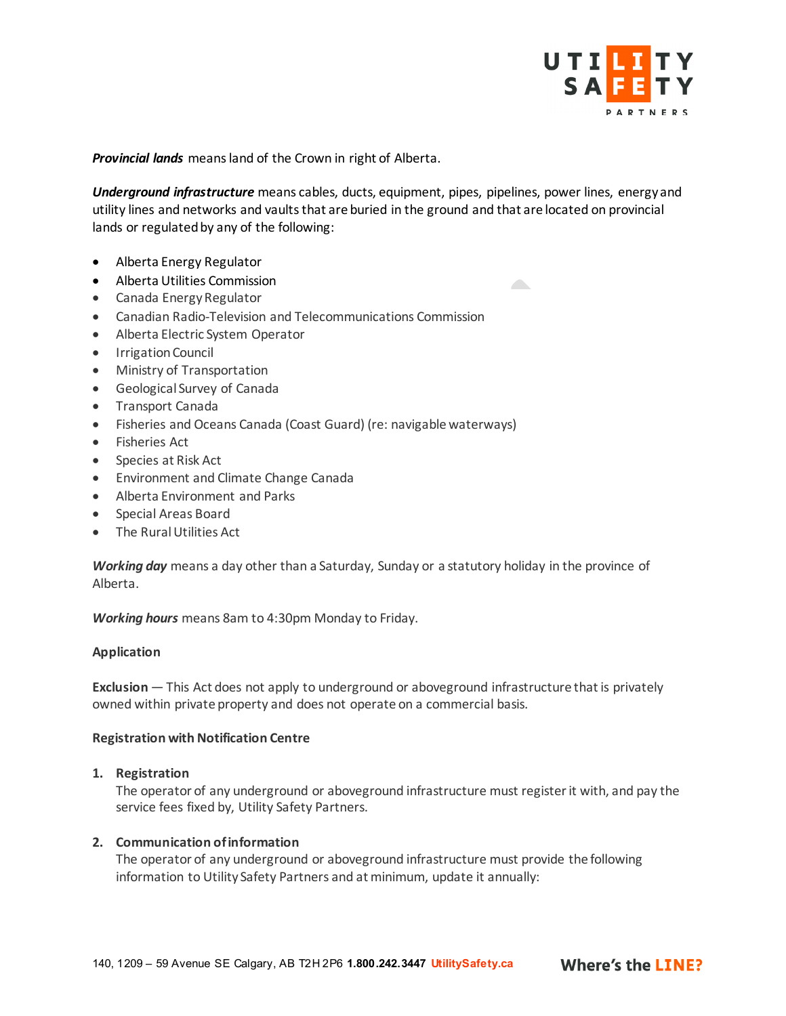

*Provincial lands* means land of the Crown in right of Alberta.

*Underground infrastructure* means cables, ducts, equipment, pipes, pipelines, power lines, energy and utility lines and networks and vaults that are buried in the ground and that are located on provincial lands or regulated by any of the following:

- Alberta Energy Regulator
- Alberta Utilities Commission
- Canada Energy Regulator
- Canadian Radio-Television and Telecommunications Commission
- Alberta Electric System Operator
- Irrigation Council
- Ministry of Transportation
- Geological Survey of Canada
- Transport Canada
- Fisheries and Oceans Canada (Coast Guard) (re: navigable waterways)
- Fisheries Act
- Species at Risk Act
- Environment and Climate Change Canada
- Alberta Environment and Parks
- Special Areas Board
- The Rural Utilities Act

*Working day* means a day other than a Saturday, Sunday or a statutory holiday in the province of Alberta.

*Working hours* means 8am to 4:30pm Monday to Friday.

#### **Application**

**Exclusion** — This Act does not apply to underground or aboveground infrastructure that is privately owned within private property and does not operate on a commercial basis.

#### **Registration with Notification Centre**

#### **1. Registration**

The operator of any underground or aboveground infrastructure must register it with, and pay the service fees fixed by, Utility Safety Partners.

#### **2. Communication of information**

The operator of any underground or aboveground infrastructure must provide the following information to Utility Safety Partners and at minimum, update it annually: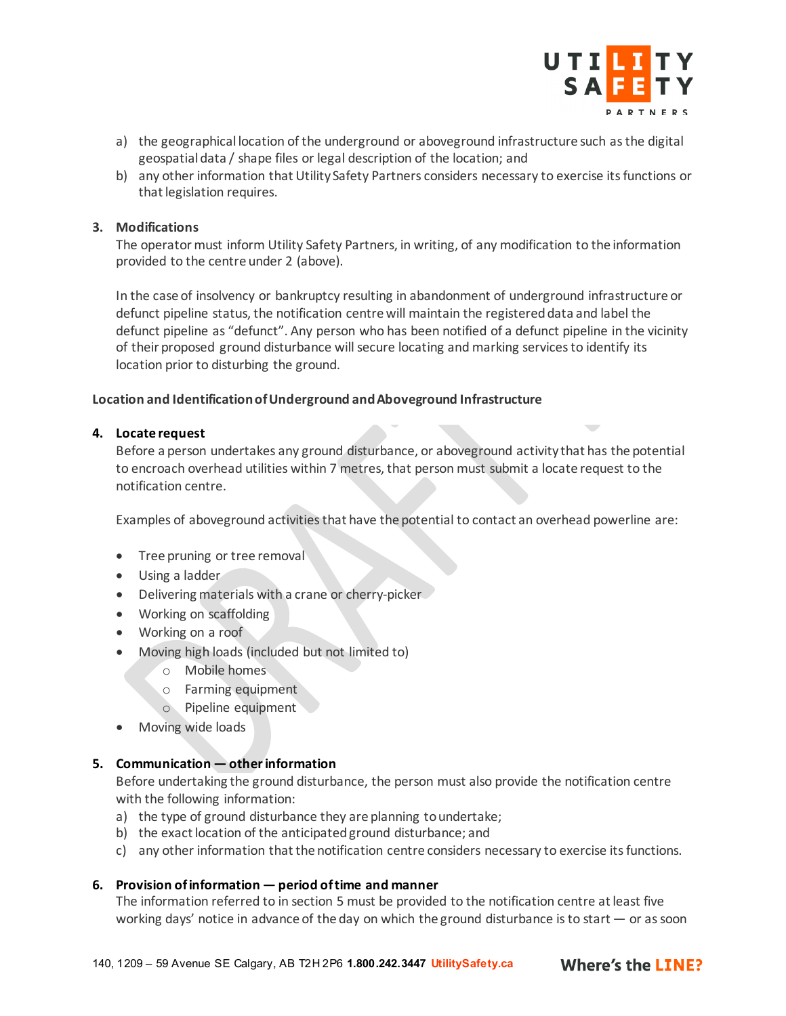

- a) the geographical location of the underground or aboveground infrastructure such as the digital geospatial data / shape files or legal description of the location; and
- b) any other information that Utility Safety Partners considers necessary to exercise its functions or that legislation requires.

## **3. Modifications**

The operator must inform Utility Safety Partners, in writing, of any modification to the information provided to the centre under 2 (above).

In the case of insolvency or bankruptcy resulting in abandonment of underground infrastructure or defunct pipeline status, the notification centre will maintain the registered data and label the defunct pipeline as "defunct". Any person who has been notified of a defunct pipeline in the vicinity of their proposed ground disturbance will secure locating and marking services to identify its location prior to disturbing the ground.

## **Location and Identification of Underground and Aboveground Infrastructure**

## **4. Locate request**

Before a person undertakes any ground disturbance, or aboveground activity that has the potential to encroach overhead utilities within 7 metres, that person must submit a locate request to the notification centre.

Examples of aboveground activities that have the potential to contact an overhead powerline are:

- Tree pruning or tree removal
- Using a ladder
- Delivering materials with a crane or cherry-picker
- Working on scaffolding
- Working on a roof
- Moving high loads (included but not limited to)
	- o Mobile homes
	- o Farming equipment
	- o Pipeline equipment
- Moving wide loads

## **5. Communication — other information**

Before undertaking the ground disturbance, the person must also provide the notification centre with the following information:

- a) the type of ground disturbance they are planning to undertake;
- b) the exact location of the anticipated ground disturbance; and
- c) any other information that the notification centre considers necessary to exercise its functions.

#### **6. Provision of information — period of time and manner**

The information referred to in section 5 must be provided to the notification centre at least five working days' notice in advance of the day on which the ground disturbance is to start — or as soon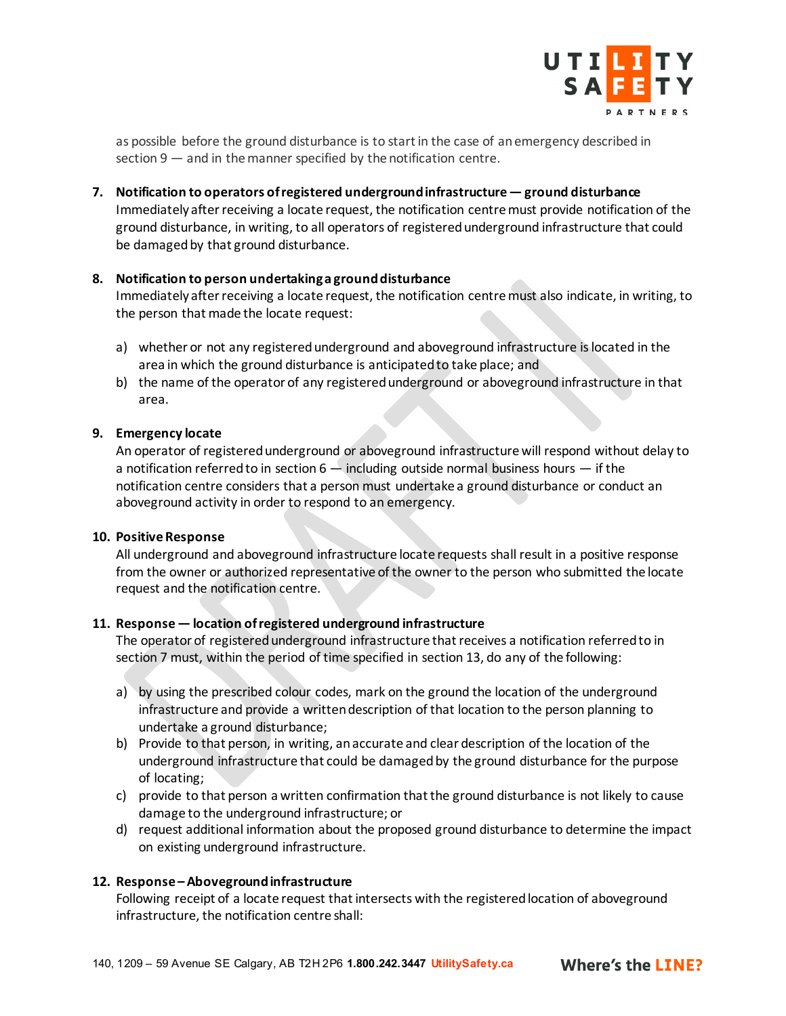

as possible before the ground disturbance is to start in the case of an emergency described in section 9 — and in the manner specified by the notification centre.

**7. Notification to operators of registered underground infrastructure — ground disturbance** Immediately after receiving a locate request, the notification centre must provide notification of the ground disturbance, in writing, to all operators of registered underground infrastructure that could be damaged by that ground disturbance.

# **8. Notification to person undertaking a ground disturbance**

Immediately afterreceiving a locate request, the notification centre must also indicate, in writing, to the person that made the locate request:

- a) whether or not any registered underground and aboveground infrastructure is located in the area in which the ground disturbance is anticipated to take place; and
- b) the name of the operator of any registered underground or aboveground infrastructure in that area.

## **9. Emergency locate**

An operator of registered underground or aboveground infrastructure will respond without delay to a notification referred to in section  $6 -$  including outside normal business hours  $-$  if the notification centre considers that a person must undertake a ground disturbance or conduct an aboveground activity in order to respond to an emergency.

#### **10. Positive Response**

All underground and aboveground infrastructure locate requests shall result in a positive response from the owner or authorized representative of the owner to the person who submitted the locate request and the notification centre.

# **11. Response — location ofregistered underground infrastructure**

The operator of registered underground infrastructure that receives a notification referred to in section 7 must, within the period of time specified in section 13, do any of the following:

- a) by using the prescribed colour codes, mark on the ground the location of the underground infrastructure and provide a written description of that location to the person planning to undertake a ground disturbance;
- b) Provide to that person, in writing, an accurate and clear description of the location of the underground infrastructure that could be damaged by the ground disturbance for the purpose of locating;
- c) provide to that person a written confirmation that the ground disturbance is not likely to cause damage to the underground infrastructure; or
- d) request additional information about the proposed ground disturbance to determine the impact on existing underground infrastructure.

# **12. Response –Aboveground infrastructure**

Following receipt of a locate request that intersects with the registered location of aboveground infrastructure, the notification centre shall: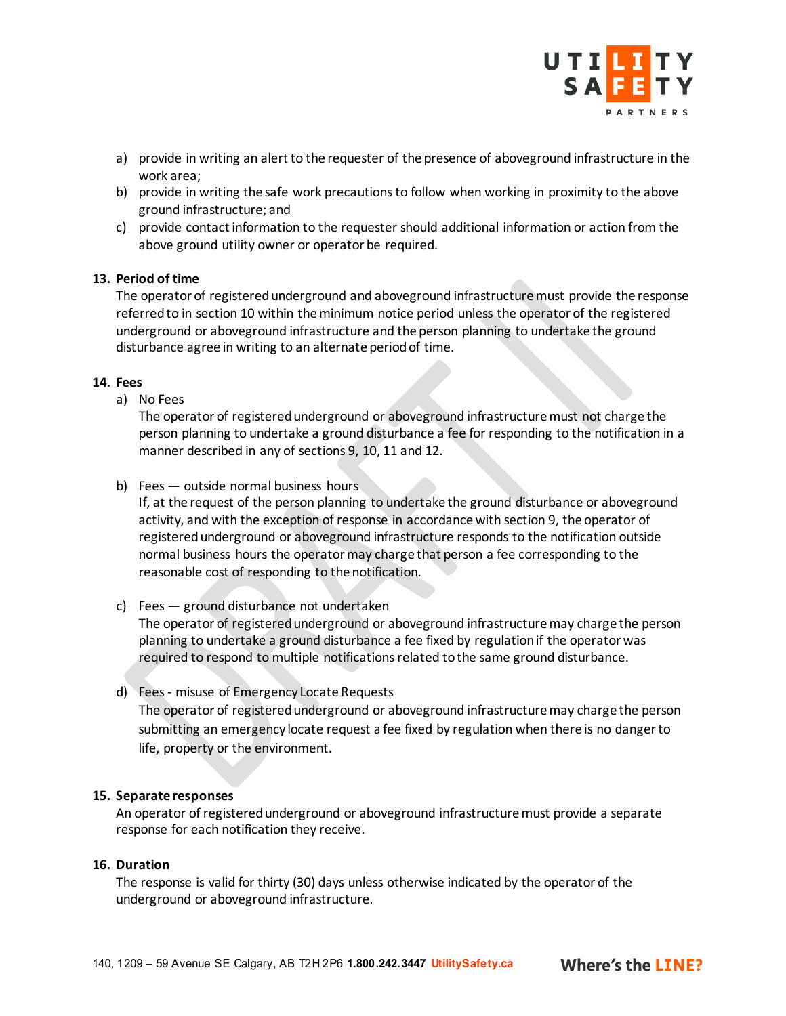

- a) provide in writing an alert to the requester of the presence of aboveground infrastructure in the work area;
- b) provide in writing the safe work precautions to follow when working in proximity to the above ground infrastructure; and
- c) provide contact information to the requester should additional information or action from the above ground utility owner or operator be required.

# **13. Period of time**

The operator of registered underground and aboveground infrastructure must provide the response referred to in section 10 within the minimum notice period unless the operator of the registered underground or aboveground infrastructure and the person planning to undertake the ground disturbance agree in writing to an alternate period of time.

## **14. Fees**

a) No Fees

The operator of registered underground or aboveground infrastructure must not charge the person planning to undertake a ground disturbance a fee for responding to the notification in a manner described in any of sections 9, 10, 11 and 12.

b) Fees — outside normal business hours

If, at the request of the person planning to undertake the ground disturbance or aboveground activity, and with the exception of response in accordance with section 9, the operator of registered underground or aboveground infrastructure responds to the notification outside normal business hours the operator may charge that person a fee corresponding to the reasonable cost of responding to the notification.

- c) Fees ground disturbance not undertaken The operator of registered underground or aboveground infrastructure may charge the person planning to undertake a ground disturbance a fee fixed by regulation if the operator was required to respond to multiple notifications related to the same ground disturbance.
- d) Fees misuse of Emergency Locate Requests The operator of registered underground or aboveground infrastructure may charge the person submitting an emergency locate request a fee fixed by regulation when there is no danger to life, property or the environment.

# **15. Separate responses**

An operator of registered underground or aboveground infrastructure must provide a separate response for each notification they receive.

#### **16. Duration**

The response is valid for thirty (30) days unless otherwise indicated by the operator of the underground or aboveground infrastructure.